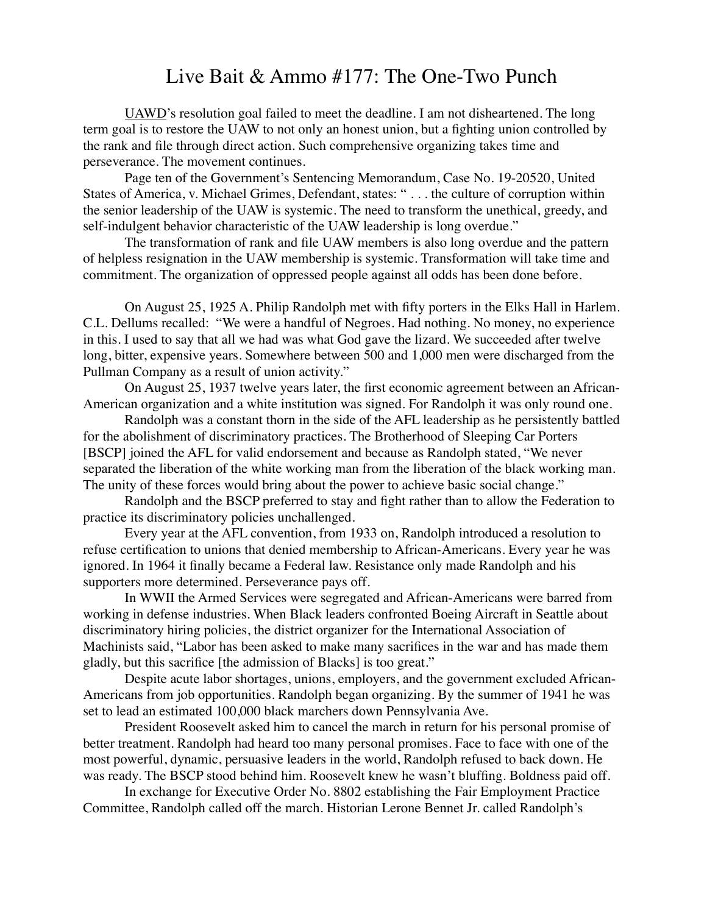## Live Bait & Ammo #177: The One-Two Punch

[UAWD](https://labornotes.org/blogs/2020/02/auto-reformers-go-round-two)'s resolution goal failed to meet the deadline. I am not disheartened. The long term goal is to restore the UAW to not only an honest union, but a fighting union controlled by the rank and file through direct action. Such comprehensive organizing takes time and perseverance. The movement continues.

Page ten of the Government's Sentencing Memorandum, Case No. 19-20520, United States of America, v. Michael Grimes, Defendant, states: " . . . the culture of corruption within the senior leadership of the UAW is systemic. The need to transform the unethical, greedy, and self-indulgent behavior characteristic of the UAW leadership is long overdue."

The transformation of rank and file UAW members is also long overdue and the pattern of helpless resignation in the UAW membership is systemic. Transformation will take time and commitment. The organization of oppressed people against all odds has been done before.

On August 25, 1925 A. Philip Randolph met with fifty porters in the Elks Hall in Harlem. C.L. Dellums recalled: "We were a handful of Negroes. Had nothing. No money, no experience in this. I used to say that all we had was what God gave the lizard. We succeeded after twelve long, bitter, expensive years. Somewhere between 500 and 1,000 men were discharged from the Pullman Company as a result of union activity."

On August 25, 1937 twelve years later, the first economic agreement between an African-American organization and a white institution was signed. For Randolph it was only round one.

Randolph was a constant thorn in the side of the AFL leadership as he persistently battled for the abolishment of discriminatory practices. The Brotherhood of Sleeping Car Porters [BSCP] joined the AFL for valid endorsement and because as Randolph stated, "We never separated the liberation of the white working man from the liberation of the black working man. The unity of these forces would bring about the power to achieve basic social change."

Randolph and the BSCP preferred to stay and fight rather than to allow the Federation to practice its discriminatory policies unchallenged.

Every year at the AFL convention, from 1933 on, Randolph introduced a resolution to refuse certification to unions that denied membership to African-Americans. Every year he was ignored. In 1964 it finally became a Federal law. Resistance only made Randolph and his supporters more determined. Perseverance pays off.

In WWII the Armed Services were segregated and African-Americans were barred from working in defense industries. When Black leaders confronted Boeing Aircraft in Seattle about discriminatory hiring policies, the district organizer for the International Association of Machinists said, "Labor has been asked to make many sacrifices in the war and has made them gladly, but this sacrifice [the admission of Blacks] is too great."

Despite acute labor shortages, unions, employers, and the government excluded African-Americans from job opportunities. Randolph began organizing. By the summer of 1941 he was set to lead an estimated 100,000 black marchers down Pennsylvania Ave.

President Roosevelt asked him to cancel the march in return for his personal promise of better treatment. Randolph had heard too many personal promises. Face to face with one of the most powerful, dynamic, persuasive leaders in the world, Randolph refused to back down. He was ready. The BSCP stood behind him. Roosevelt knew he wasn't bluffing. Boldness paid off.

In exchange for Executive Order No. 8802 establishing the Fair Employment Practice Committee, Randolph called off the march. Historian Lerone Bennet Jr. called Randolph's